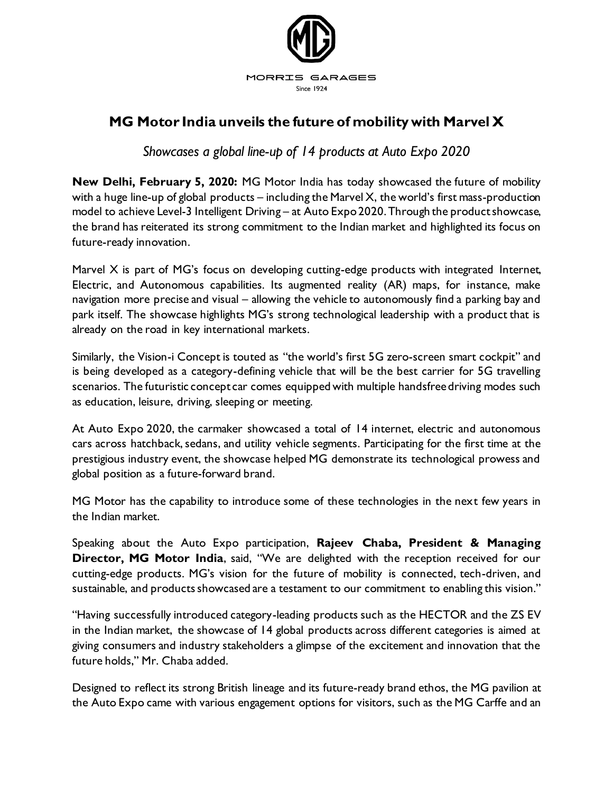

## **MG Motor India unveils the future of mobility with Marvel X**

*Showcases a global line-up of 14 products at Auto Expo 2020*

**New Delhi, February 5, 2020:** MG Motor India has today showcased the future of mobility with a huge line-up of global products – including the Marvel X, the world's first mass-production model to achieve Level-3 Intelligent Driving – at Auto Expo 2020. Through the product showcase, the brand has reiterated its strong commitment to the Indian market and highlighted its focus on future-ready innovation.

Marvel X is part of MG's focus on developing cutting-edge products with integrated Internet, Electric, and Autonomous capabilities. Its augmented reality (AR) maps, for instance, make navigation more precise and visual – allowing the vehicle to autonomously find a parking bay and park itself. The showcase highlights MG's strong technological leadership with a product that is already on the road in key international markets.

Similarly, the Vision-i Concept is touted as "the world's first 5G zero-screen smart cockpit" and is being developed as a category-defining vehicle that will be the best carrier for 5G travelling scenarios. The futuristic concept car comes equipped with multiple handsfree driving modes such as education, leisure, driving, sleeping or meeting.

At Auto Expo 2020, the carmaker showcased a total of 14 internet, electric and autonomous cars across hatchback, sedans, and utility vehicle segments. Participating for the first time at the prestigious industry event, the showcase helped MG demonstrate its technological prowess and global position as a future-forward brand.

MG Motor has the capability to introduce some of these technologies in the next few years in the Indian market.

Speaking about the Auto Expo participation, **Rajeev Chaba, President & Managing Director, MG Motor India**, said, "We are delighted with the reception received for our cutting-edge products. MG's vision for the future of mobility is connected, tech-driven, and sustainable, and products showcased are a testament to our commitment to enabling this vision."

"Having successfully introduced category-leading products such as the HECTOR and the ZS EV in the Indian market, the showcase of 14 global products across different categories is aimed at giving consumers and industry stakeholders a glimpse of the excitement and innovation that the future holds," Mr. Chaba added.

Designed to reflect its strong British lineage and its future-ready brand ethos, the MG pavilion at the Auto Expo came with various engagement options for visitors, such as the MG Carffe and an